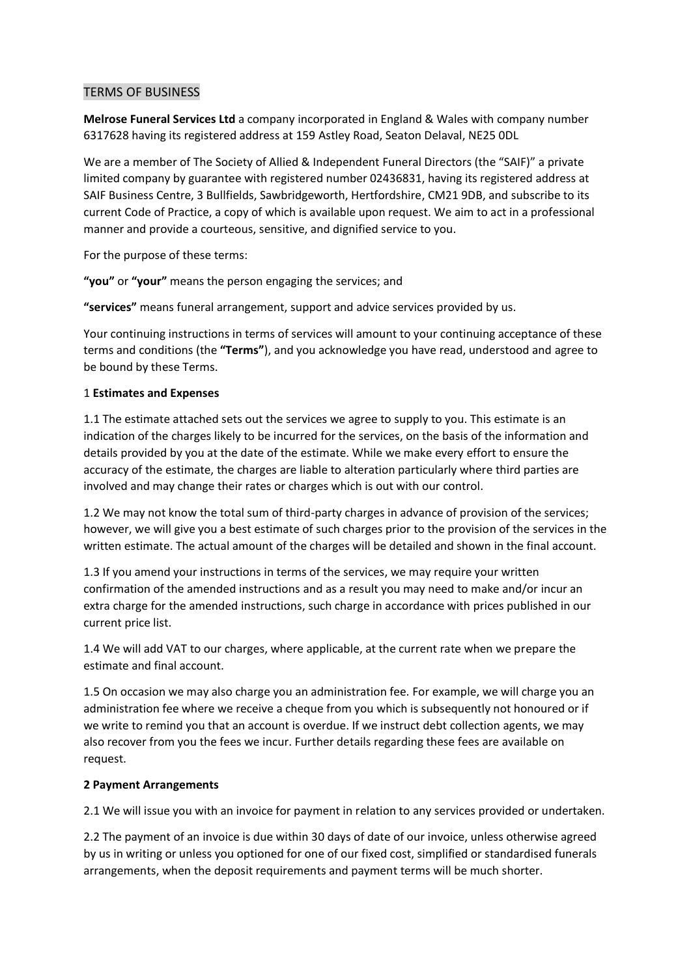### TERMS OF BUSINESS

**Melrose Funeral Services Ltd** a company incorporated in England & Wales with company number 6317628 having its registered address at 159 Astley Road, Seaton Delaval, NE25 0DL

We are a member of The Society of Allied & Independent Funeral Directors (the "SAIF)" a private limited company by guarantee with registered number 02436831, having its registered address at SAIF Business Centre, 3 Bullfields, Sawbridgeworth, Hertfordshire, CM21 9DB, and subscribe to its current Code of Practice, a copy of which is available upon request. We aim to act in a professional manner and provide a courteous, sensitive, and dignified service to you.

For the purpose of these terms:

**"you"** or **"your"** means the person engaging the services; and

**"services"** means funeral arrangement, support and advice services provided by us.

Your continuing instructions in terms of services will amount to your continuing acceptance of these terms and conditions (the **"Terms"**), and you acknowledge you have read, understood and agree to be bound by these Terms.

## 1 **Estimates and Expenses**

1.1 The estimate attached sets out the services we agree to supply to you. This estimate is an indication of the charges likely to be incurred for the services, on the basis of the information and details provided by you at the date of the estimate. While we make every effort to ensure the accuracy of the estimate, the charges are liable to alteration particularly where third parties are involved and may change their rates or charges which is out with our control.

1.2 We may not know the total sum of third-party charges in advance of provision of the services; however, we will give you a best estimate of such charges prior to the provision of the services in the written estimate. The actual amount of the charges will be detailed and shown in the final account.

1.3 If you amend your instructions in terms of the services, we may require your written confirmation of the amended instructions and as a result you may need to make and/or incur an extra charge for the amended instructions, such charge in accordance with prices published in our current price list.

1.4 We will add VAT to our charges, where applicable, at the current rate when we prepare the estimate and final account.

1.5 On occasion we may also charge you an administration fee. For example, we will charge you an administration fee where we receive a cheque from you which is subsequently not honoured or if we write to remind you that an account is overdue. If we instruct debt collection agents, we may also recover from you the fees we incur. Further details regarding these fees are available on request.

#### **2 Payment Arrangements**

2.1 We will issue you with an invoice for payment in relation to any services provided or undertaken.

2.2 The payment of an invoice is due within 30 days of date of our invoice, unless otherwise agreed by us in writing or unless you optioned for one of our fixed cost, simplified or standardised funerals arrangements, when the deposit requirements and payment terms will be much shorter.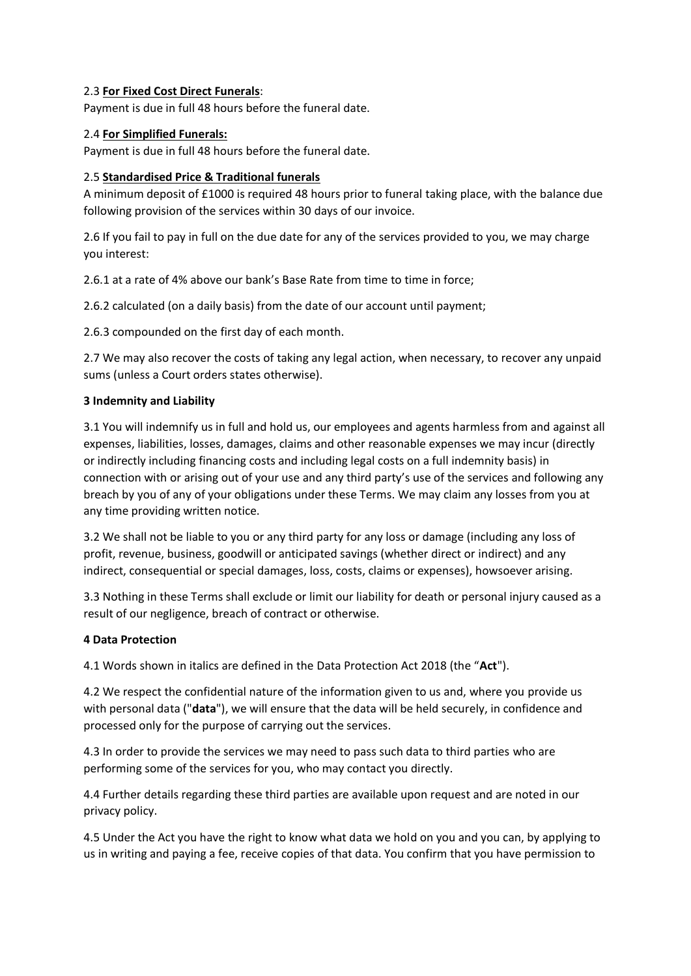## 2.3 **For Fixed Cost Direct Funerals**:

Payment is due in full 48 hours before the funeral date.

## 2.4 **For Simplified Funerals:**

Payment is due in full 48 hours before the funeral date.

# 2.5 **Standardised Price & Traditional funerals**

A minimum deposit of £1000 is required 48 hours prior to funeral taking place, with the balance due following provision of the services within 30 days of our invoice.

2.6 If you fail to pay in full on the due date for any of the services provided to you, we may charge you interest:

2.6.1 at a rate of 4% above our bank's Base Rate from time to time in force;

2.6.2 calculated (on a daily basis) from the date of our account until payment;

2.6.3 compounded on the first day of each month.

2.7 We may also recover the costs of taking any legal action, when necessary, to recover any unpaid sums (unless a Court orders states otherwise).

## **3 Indemnity and Liability**

3.1 You will indemnify us in full and hold us, our employees and agents harmless from and against all expenses, liabilities, losses, damages, claims and other reasonable expenses we may incur (directly or indirectly including financing costs and including legal costs on a full indemnity basis) in connection with or arising out of your use and any third party's use of the services and following any breach by you of any of your obligations under these Terms. We may claim any losses from you at any time providing written notice.

3.2 We shall not be liable to you or any third party for any loss or damage (including any loss of profit, revenue, business, goodwill or anticipated savings (whether direct or indirect) and any indirect, consequential or special damages, loss, costs, claims or expenses), howsoever arising.

3.3 Nothing in these Terms shall exclude or limit our liability for death or personal injury caused as a result of our negligence, breach of contract or otherwise.

#### **4 Data Protection**

4.1 Words shown in italics are defined in the Data Protection Act 2018 (the "**Act**").

4.2 We respect the confidential nature of the information given to us and, where you provide us with personal data ("**data**"), we will ensure that the data will be held securely, in confidence and processed only for the purpose of carrying out the services.

4.3 In order to provide the services we may need to pass such data to third parties who are performing some of the services for you, who may contact you directly.

4.4 Further details regarding these third parties are available upon request and are noted in our privacy policy.

4.5 Under the Act you have the right to know what data we hold on you and you can, by applying to us in writing and paying a fee, receive copies of that data. You confirm that you have permission to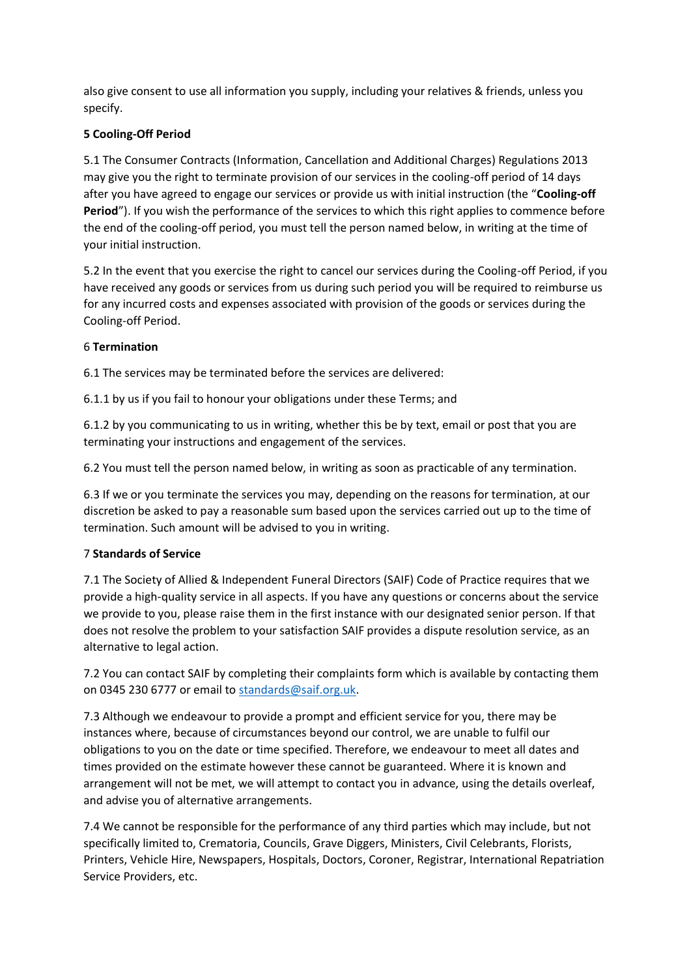also give consent to use all information you supply, including your relatives & friends, unless you specify.

# **5 Cooling-Off Period**

5.1 The Consumer Contracts (Information, Cancellation and Additional Charges) Regulations 2013 may give you the right to terminate provision of our services in the cooling-off period of 14 days after you have agreed to engage our services or provide us with initial instruction (the "**Cooling-off**  Period"). If you wish the performance of the services to which this right applies to commence before the end of the cooling-off period, you must tell the person named below, in writing at the time of your initial instruction.

5.2 In the event that you exercise the right to cancel our services during the Cooling-off Period, if you have received any goods or services from us during such period you will be required to reimburse us for any incurred costs and expenses associated with provision of the goods or services during the Cooling-off Period.

#### 6 **Termination**

6.1 The services may be terminated before the services are delivered:

6.1.1 by us if you fail to honour your obligations under these Terms; and

6.1.2 by you communicating to us in writing, whether this be by text, email or post that you are terminating your instructions and engagement of the services.

6.2 You must tell the person named below, in writing as soon as practicable of any termination.

6.3 If we or you terminate the services you may, depending on the reasons for termination, at our discretion be asked to pay a reasonable sum based upon the services carried out up to the time of termination. Such amount will be advised to you in writing.

#### 7 **Standards of Service**

7.1 The Society of Allied & Independent Funeral Directors (SAIF) Code of Practice requires that we provide a high-quality service in all aspects. If you have any questions or concerns about the service we provide to you, please raise them in the first instance with our designated senior person. If that does not resolve the problem to your satisfaction SAIF provides a dispute resolution service, as an alternative to legal action.

7.2 You can contact SAIF by completing their complaints form which is available by contacting them on 0345 230 6777 or email to [standards@saif.org.uk.](mailto:standards@saif.org.uk)

7.3 Although we endeavour to provide a prompt and efficient service for you, there may be instances where, because of circumstances beyond our control, we are unable to fulfil our obligations to you on the date or time specified. Therefore, we endeavour to meet all dates and times provided on the estimate however these cannot be guaranteed. Where it is known and arrangement will not be met, we will attempt to contact you in advance, using the details overleaf, and advise you of alternative arrangements.

7.4 We cannot be responsible for the performance of any third parties which may include, but not specifically limited to, Crematoria, Councils, Grave Diggers, Ministers, Civil Celebrants, Florists, Printers, Vehicle Hire, Newspapers, Hospitals, Doctors, Coroner, Registrar, International Repatriation Service Providers, etc.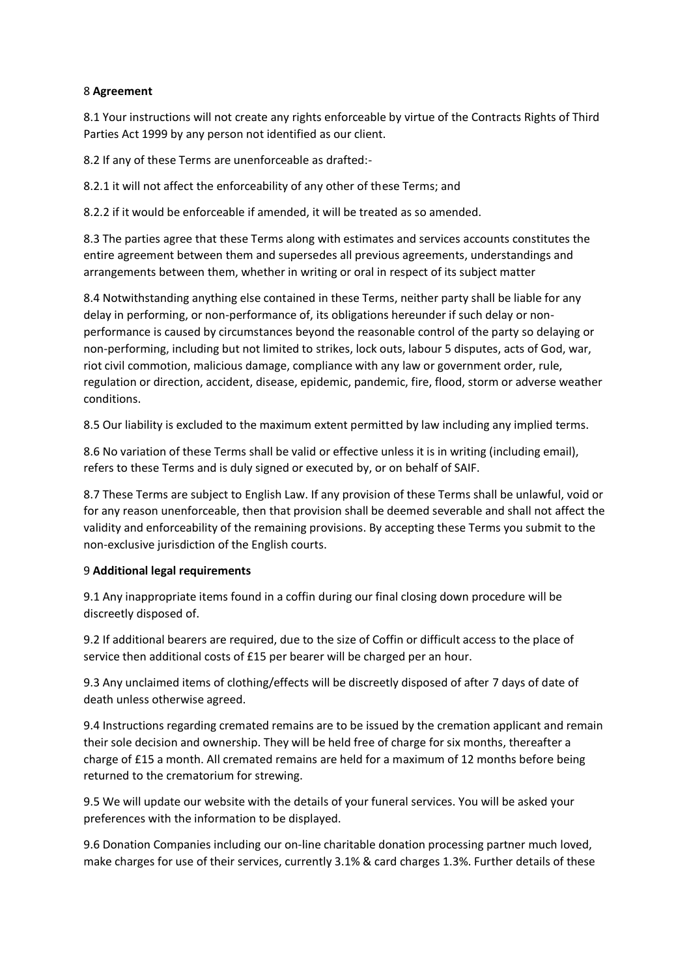## 8 **Agreement**

8.1 Your instructions will not create any rights enforceable by virtue of the Contracts Rights of Third Parties Act 1999 by any person not identified as our client.

8.2 If any of these Terms are unenforceable as drafted:-

8.2.1 it will not affect the enforceability of any other of these Terms; and

8.2.2 if it would be enforceable if amended, it will be treated as so amended.

8.3 The parties agree that these Terms along with estimates and services accounts constitutes the entire agreement between them and supersedes all previous agreements, understandings and arrangements between them, whether in writing or oral in respect of its subject matter

8.4 Notwithstanding anything else contained in these Terms, neither party shall be liable for any delay in performing, or non-performance of, its obligations hereunder if such delay or nonperformance is caused by circumstances beyond the reasonable control of the party so delaying or non-performing, including but not limited to strikes, lock outs, labour 5 disputes, acts of God, war, riot civil commotion, malicious damage, compliance with any law or government order, rule, regulation or direction, accident, disease, epidemic, pandemic, fire, flood, storm or adverse weather conditions.

8.5 Our liability is excluded to the maximum extent permitted by law including any implied terms.

8.6 No variation of these Terms shall be valid or effective unless it is in writing (including email), refers to these Terms and is duly signed or executed by, or on behalf of SAIF.

8.7 These Terms are subject to English Law. If any provision of these Terms shall be unlawful, void or for any reason unenforceable, then that provision shall be deemed severable and shall not affect the validity and enforceability of the remaining provisions. By accepting these Terms you submit to the non-exclusive jurisdiction of the English courts.

#### 9 **Additional legal requirements**

9.1 Any inappropriate items found in a coffin during our final closing down procedure will be discreetly disposed of.

9.2 If additional bearers are required, due to the size of Coffin or difficult access to the place of service then additional costs of £15 per bearer will be charged per an hour.

9.3 Any unclaimed items of clothing/effects will be discreetly disposed of after 7 days of date of death unless otherwise agreed.

9.4 Instructions regarding cremated remains are to be issued by the cremation applicant and remain their sole decision and ownership. They will be held free of charge for six months, thereafter a charge of £15 a month. All cremated remains are held for a maximum of 12 months before being returned to the crematorium for strewing.

9.5 We will update our website with the details of your funeral services. You will be asked your preferences with the information to be displayed.

9.6 Donation Companies including our on-line charitable donation processing partner much loved, make charges for use of their services, currently 3.1% & card charges 1.3%. Further details of these